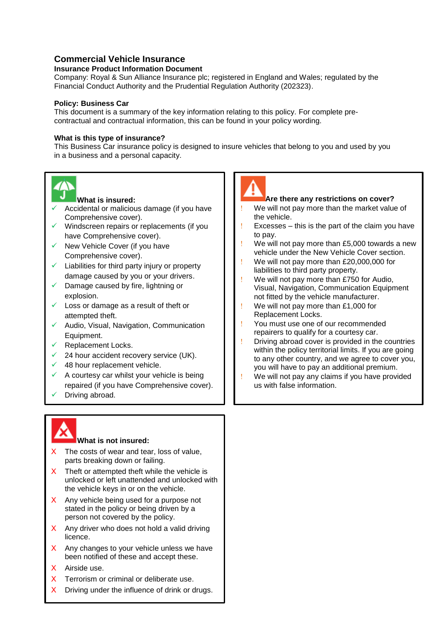# **Commercial Vehicle Insurance**

#### **Insurance Product Information Document**

Company: Royal & Sun Alliance Insurance plc; registered in England and Wales; regulated by the Financial Conduct Authority and the Prudential Regulation Authority (202323).

#### **Policy: Business Car**

This document is a summary of the key information relating to this policy. For complete precontractual and contractual information, this can be found in your policy wording.

#### **What is this type of insurance?**

This Business Car insurance policy is designed to insure vehicles that belong to you and used by you in a business and a personal capacity.



#### **What is insured:**

- Accidental or malicious damage (if you have Comprehensive cover).
- Windscreen repairs or replacements (if you have Comprehensive cover).
- New Vehicle Cover (if you have Comprehensive cover).
- $\checkmark$  Liabilities for third party injury or property damage caused by you or your drivers.
- $\checkmark$  Damage caused by fire, lightning or explosion.
- $\checkmark$  Loss or damage as a result of theft or attempted theft.
- $\checkmark$  Audio, Visual, Navigation, Communication Equipment.
- Replacement Locks.
- 24 hour accident recovery service (UK).
- $\checkmark$  48 hour replacement vehicle.
- A courtesy car whilst your vehicle is being repaired (if you have Comprehensive cover).
- Driving abroad.



### **What is not insured:**

- X The costs of wear and tear, loss of value. parts breaking down or failing.
- X Theft or attempted theft while the vehicle is unlocked or left unattended and unlocked with the vehicle keys in or on the vehicle.
- X Any vehicle being used for a purpose not stated in the policy or being driven by a person not covered by the policy.
- $\overline{X}$  Any driver who does not hold a valid driving licence.
- X Any changes to your vehicle unless we have been notified of these and accept these.
- X Airside use.
- X Terrorism or criminal or deliberate use.
- X Driving under the influence of drink or drugs.



#### **Are there any restrictions on cover?**

- We will not pay more than the market value of the vehicle.
- Excesses this is the part of the claim you have to pay.
- We will not pay more than £5,000 towards a new vehicle under the New Vehicle Cover section.
- We will not pay more than £20,000,000 for liabilities to third party property.
- We will not pay more than £750 for Audio. Visual, Navigation, Communication Equipment not fitted by the vehicle manufacturer.
- We will not pay more than £1,000 for Replacement Locks.
- You must use one of our recommended repairers to qualify for a courtesy car.
- Driving abroad cover is provided in the countries within the policy territorial limits. If you are going to any other country, and we agree to cover you, you will have to pay an additional premium.
- We will not pay any claims if you have provided us with false information.